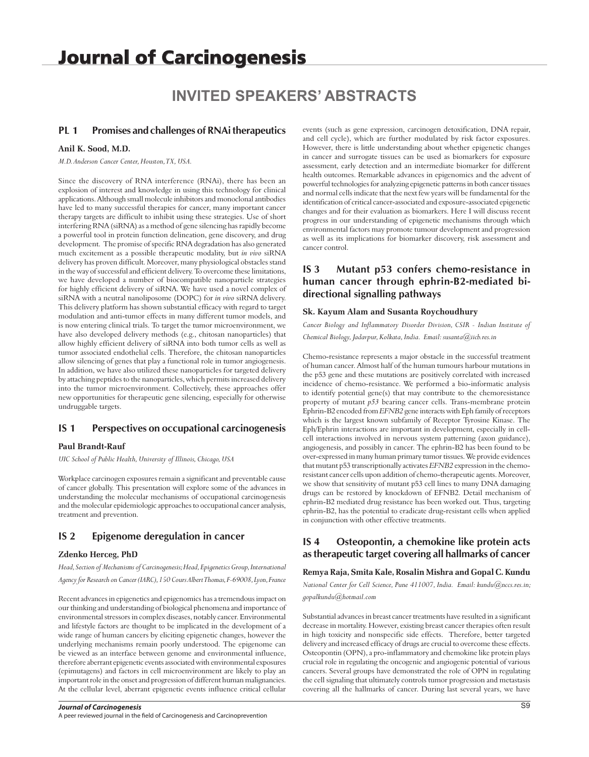# **INVITED SPEAKERS' ABSTRACTS**

### **PL 1 Promises and challenges of RNAi therapeutics**

#### **Anil K. Sood, M.D.**

*M.D. Anderson Cancer Center, Houston, TX, USA.*

Since the discovery of RNA interference (RNAi), there has been an explosion of interest and knowledge in using this technology for clinical applications. Although small molecule inhibitors and monoclonal antibodies have led to many successful therapies for cancer, many important cancer therapy targets are difficult to inhibit using these strategies. Use of short interfering RNA (siRNA) as a method of gene silencing has rapidly become a powerful tool in protein function delineation, gene discovery, and drug development. The promise of specific RNA degradation has also generated much excitement as a possible therapeutic modality, but *in vivo* siRNA delivery has proven difficult. Moreover, many physiological obstacles stand in the way of successful and efficient delivery. To overcome these limitations, we have developed a number of biocompatible nanoparticle strategies for highly efficient delivery of siRNA. We have used a novel complex of siRNA with a neutral nanoliposome (DOPC) for *in vivo* siRNA delivery. This delivery platform has shown substantial efficacy with regard to target modulation and anti-tumor effects in many different tumor models, and is now entering clinical trials. To target the tumor microenvironment, we have also developed delivery methods (e.g., chitosan nanoparticles) that allow highly efficient delivery of siRNA into both tumor cells as well as tumor associated endothelial cells. Therefore, the chitosan nanoparticles allow silencing of genes that play a functional role in tumor angiogenesis. In addition, we have also utilized these nanoparticles for targeted delivery by attaching peptides to the nanoparticles, which permits increased delivery into the tumor microenvironment. Collectively, these approaches offer new opportunities for therapeutic gene silencing, especially for otherwise undruggable targets.

### **IS 1 Perspectives on occupational carcinogenesis**

### **Paul Brandt-Rauf**

*UIC School of Public Health, University of Illinois, Chicago, USA*

Workplace carcinogen exposures remain a significant and preventable cause of cancer globally. This presentation will explore some of the advances in understanding the molecular mechanisms of occupational carcinogenesis and the molecular epidemiologic approaches to occupational cancer analysis, treatment and prevention.

### **IS 2 Epigenome deregulation in cancer**

#### **Zdenko Herceg, PhD**

*Head, Section of Mechanisms of Carcinogenesis; Head, Epigenetics Group, International Agency for Research on Cancer (IARC), 150 Cours Albert Thomas, F-69008, Lyon, France*

Recent advances in epigenetics and epigenomics has a tremendous impact on our thinking and understanding of biological phenomena and importance of environmental stressors in complex diseases, notably cancer. Environmental and lifestyle factors are thought to be implicated in the development of a wide range of human cancers by eliciting epigenetic changes, however the underlying mechanisms remain poorly understood. The epigenome can be viewed as an interface between genome and environmental influence, therefore aberrant epigenetic events associated with environmental exposures (epimutagens) and factors in cell microenvironment are likely to play an important role in the onset and progression of different human malignancies. At the cellular level, aberrant epigenetic events influence critical cellular events (such as gene expression, carcinogen detoxification, DNA repair, and cell cycle), which are further modulated by risk factor exposures. However, there is little understanding about whether epigenetic changes in cancer and surrogate tissues can be used as biomarkers for exposure assessment, early detection and an intermediate biomarker for different health outcomes. Remarkable advances in epigenomics and the advent of powerful technologies for analyzing epigenetic patterns in both cancer tissues and normal cells indicate that the next few years will be fundamental for the identification of critical cancer-associated and exposure-associated epigenetic changes and for their evaluation as biomarkers. Here I will discuss recent progress in our understanding of epigenetic mechanisms through which environmental factors may promote tumour development and progression as well as its implications for biomarker discovery, risk assessment and cancer control.

# **IS 3 Mutant p53 confers chemo-resistance in human cancer through ephrin-B2-mediated bidirectional signalling pathways**

#### **Sk. Kayum Alam and Susanta Roychoudhury**

*Cancer Biology and Inflammatory Disorder Division, CSIR - Indian Institute of Chemical Biology, Jadavpur, Kolkata, India. Email: susanta@iicb.res.in*

Chemo-resistance represents a major obstacle in the successful treatment of human cancer. Almost half of the human tumours harbour mutations in the p53 gene and these mutations are positively correlated with increased incidence of chemo-resistance. We performed a bio-informatic analysis to identify potential gene(s) that may contribute to the chemoresistance property of mutant *p53* bearing cancer cells. Trans-membrane protein Ephrin-B2 encoded from *EFNB2* gene interacts with Eph family of receptors which is the largest known subfamily of Receptor Tyrosine Kinase. The Eph/Ephrin interactions are important in development, especially in cellcell interactions involved in nervous system patterning (axon guidance), angiogenesis, and possibly in cancer. The ephrin-B2 has been found to be over-expressed in many human primary tumor tissues. We provide evidences that mutant p53 transcriptionally activates *EFNB2* expression in the chemoresistant cancer cells upon addition of chemo-therapeutic agents. Moreover, we show that sensitivity of mutant p53 cell lines to many DNA damaging drugs can be restored by knockdown of EFNB2. Detail mechanism of ephrin-B2 mediated drug resistance has been worked out. Thus, targeting ephrin-B2, has the potential to eradicate drug-resistant cells when applied in conjunction with other effective treatments.

# **IS 4 Osteopontin, a chemokine like protein acts as therapeutic target covering all hallmarks of cancer**

### **Remya Raja, Smita Kale, Rosalin Mishra and Gopal C. Kundu**

*National Center for Cell Science, Pune 411007, India. Email: kundu@nccs.res.in;* 

*gopalkundu@hotmail.com*

Substantial advances in breast cancer treatments have resulted in a significant decrease in mortality. However, existing breast cancer therapies often result in high toxicity and nonspecific side effects. Therefore, better targeted delivery and increased efficacy of drugs are crucial to overcome these effects. Osteopontin (OPN), a pro-inflammatory and chemokine like protein plays crucial role in regulating the oncogenic and angiogenic potential of various cancers. Several groups have demonstrated the role of OPN in regulating the cell signaling that ultimately controls tumor progression and metastasis covering all the hallmarks of cancer. During last several years, we have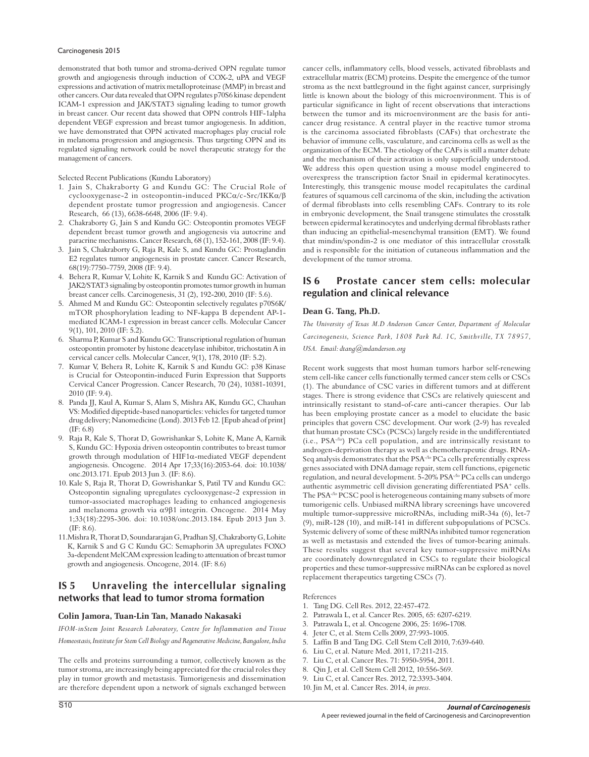demonstrated that both tumor and stroma-derived OPN regulate tumor growth and angiogenesis through induction of COX-2, uPA and VEGF expressions and activation of matrix metalloproteinase (MMP) in breast and other cancers. Our data revealed that OPN regulates p70S6 kinase dependent ICAM-1 expression and JAK/STAT3 signaling leading to tumor growth in breast cancer. Our recent data showed that OPN controls HIF-1alpha dependent VEGF expression and breast tumor angiogenesis. In addition, we have demonstrated that OPN activated macrophages play crucial role in melanoma progression and angiogenesis. Thus targeting OPN and its regulated signaling network could be novel therapeutic strategy for the management of cancers.

Selected Recent Publications (Kundu Laboratory)

- 1. Jain S, Chakraborty G and Kundu GC: The Crucial Role of cyclooxygenase-2 in osteopontin-induced PKCα/c-Src/IKKα/β dependent prostate tumor progression and angiogenesis. Cancer Research, 66 (13), 6638-6648, 2006 (IF: 9.4).
- 2. Chakraborty G, Jain S and Kundu GC: Osteopontin promotes VEGF dependent breast tumor growth and angiogenesis via autocrine and paracrine mechanisms. Cancer Research, 68 (1), 152-161, 2008 (IF: 9.4).
- 3. Jain S, Chakraborty G, Raja R, Kale S, and Kundu GC: Prostaglandin E2 regulates tumor angiogenesis in prostate cancer. Cancer Research, 68(19):7750–7759, 2008 (IF: 9.4).
- 4. Behera R, Kumar V, Lohite K, Karnik S and Kundu GC: Activation of JAK2/STAT3 signaling by osteopontin promotes tumor growth in human breast cancer cells. Carcinogenesis, 31 (2), 192-200, 2010 (IF: 5.6).
- 5. Ahmed M and Kundu GC: Osteopontin selectively regulates p70S6K/ mTOR phosphorylation leading to NF-kappa B dependent AP-1 mediated ICAM-1 expression in breast cancer cells. Molecular Cancer 9(1), 101, 2010 (IF: 5.2).
- 6. Sharma P, Kumar S and Kundu GC: Transcriptional regulation of human osteopontin promoter by histone deacetylase inhibitor, trichostatin A in cervical cancer cells. Molecular Cancer, 9(1), 178, 2010 (IF: 5.2).
- 7. Kumar V, Behera R, Lohite K, Karnik S and Kundu GC: p38 Kinase is Crucial for Osteopontin-induced Furin Expression that Supports Cervical Cancer Progression. Cancer Research, 70 (24), 10381-10391, 2010 (IF: 9.4).
- 8. Panda JJ, Kaul A, Kumar S, Alam S, Mishra AK, Kundu GC, Chauhan VS: Modified dipeptide-based nanoparticles: vehicles for targeted tumor drug delivery; Nanomedicine (Lond). 2013 Feb 12. [Epub ahead of print] (IF: 6.8)
- 9. Raja R, Kale S, Thorat D, Gowrishankar S, Lohite K, Mane A, Karnik S, Kundu GC: Hypoxia driven osteopontin contributes to breast tumor growth through modulation of HIF1α-mediated VEGF dependent angiogenesis. Oncogene. 2014 Apr 17;33(16):2053-64. doi: 10.1038/ onc.2013.171. Epub 2013 Jun 3. (IF: 8.6).
- 10. Kale S, Raja R, Thorat D, Gowrishankar S, Patil TV and Kundu GC: Osteopontin signaling upregulates cyclooxygenase-2 expression in tumor-associated macrophages leading to enhanced angiogenesis and melanoma growth via  $\alpha$ 9 $\beta$ 1 integrin. Oncogene. 2014 May 1;33(18):2295-306. doi: 10.1038/onc.2013.184. Epub 2013 Jun 3. (IF: 8.6).
- 11.Mishra R, Thorat D, Soundararajan G, Pradhan SJ, Chakraborty G, Lohite K, Karnik S and G C Kundu GC: Semaphorin 3A upregulates FOXO 3a-dependent MelCAM expression leading to attenuation of breast tumor growth and angiogenesis. Oncogene, 2014. (IF: 8.6)

# **IS 5 Unraveling the intercellular signaling networks that lead to tumor stroma formation**

### **Colin Jamora, Tuan-Lin Tan, Manado Nakasaki**

*IFOM-inStem Joint Research Laboratory, Centre for Inflammation and Tissue Homeostasis, Institute for Stem Cell Biology and Regenerative Medicine, Bangalore, India*

The cells and proteins surrounding a tumor, collectively known as the tumor stroma, are increasingly being appreciated for the crucial roles they play in tumor growth and metastasis. Tumorigenesis and dissemination are therefore dependent upon a network of signals exchanged between cancer cells, inflammatory cells, blood vessels, activated fibroblasts and extracellular matrix (ECM) proteins. Despite the emergence of the tumor stroma as the next battleground in the fight against cancer, surprisingly little is known about the biology of this microenvironment. This is of particular significance in light of recent observations that interactions between the tumor and its microenvironment are the basis for anticancer drug resistance. A central player in the reactive tumor stroma is the carcinoma associated fibroblasts (CAFs) that orchestrate the behavior of immune cells, vasculature, and carcinoma cells as well as the organization of the ECM. The etiology of the CAFs is still a matter debate and the mechanism of their activation is only superficially understood. We address this open question using a mouse model engineered to overexpress the transcription factor Snail in epidermal keratinocytes. Interestingly, this transgenic mouse model recapitulates the cardinal features of squamous cell carcinoma of the skin, including the activation of dermal fibroblasts into cells resembling CAFs. Contrary to its role in embryonic development, the Snail transgene stimulates the crosstalk between epidermal keratinocytes and underlying dermal fibroblasts rather than inducing an epithelial-mesenchymal transition (EMT). We found that mindin/spondin-2 is one mediator of this intracellular crosstalk and is responsible for the initiation of cutaneous inflammation and the development of the tumor stroma.

# **IS 6 Prostate cancer stem cells: molecular regulation and clinical relevance**

### **Dean G. Tang, Ph.D.**

*The University of Texas M.D Anderson Cancer Center, Department of Molecular Carcinogenesis, Science Park, 1808 Park Rd. 1C, Smithville, TX 78957, USA. Email: dtang@mdanderson.org*

Recent work suggests that most human tumors harbor self-renewing stem cell-like cancer cells functionally termed cancer stem cells or CSCs (1). The abundance of CSC varies in different tumors and at different stages. There is strong evidence that CSCs are relatively quiescent and intrinsically resistant to stand-of-care anti-cancer therapies. Our lab has been employing prostate cancer as a model to elucidate the basic principles that govern CSC development. Our work (2-9) has revealed that human prostate CSCs (PCSCs) largely reside in the undifferentiated (i.e., PSA-<sup>10</sup>) PCa cell population, and are intrinsically resistant to androgen-deprivation therapy as well as chemotherapeutic drugs. RNA-Seq analysis demonstrates that the PSA-<sup>1</sup><sup>o</sup> PCa cells preferentially express genes associated with DNA damage repair, stem cell functions, epigenetic regulation, and neural development. 5-20% PSA-/lo PCa cells can undergo authentic asymmetric cell division generating differentiated PSA<sup>+</sup> cells. The PSA<sup>-/lo</sup> PCSC pool is heterogeneous containing many subsets of more tumorigenic cells. Unbiased miRNA library screenings have uncovered multiple tumor-suppressive microRNAs, including miR-34a (6), let-7 (9), miR-128 (10), and miR-141 in different subpopulations of PCSCs. Systemic delivery of some of these miRNAs inhibited tumor regeneration as well as metastasis and extended the lives of tumor-bearing animals. These results suggest that several key tumor-suppressive miRNAs are coordinately downregulated in CSCs to regulate their biological properties and these tumor-suppressive miRNAs can be explored as novel replacement therapeutics targeting CSCs (7).

### References

- 1. Tang DG. Cell Res. 2012, 22:457-472.
- 2. Patrawala L, et al. Cancer Res. 2005, 65: 6207-6219.
- 3. Patrawala L, et al. Oncogene 2006, 25: 1696-1708.
- 4. Jeter C, et al. Stem Cells 2009, 27:993-1005.
- 5. Laffin B and Tang DG. Cell Stem Cell 2010, 7:639-640.
- 6. Liu C, et al. Nature Med. 2011, 17:211-215.
- 7. Liu C, et al. Cancer Res. 71: 5950-5954, 2011.
- 8. Qin J, et al. Cell Stem Cell 2012, 10:556-569.
- 9. Liu C, et al. Cancer Res. 2012, 72:3393-3404.
- 10. Jin M, et al. Cancer Res. 2014, *in press*.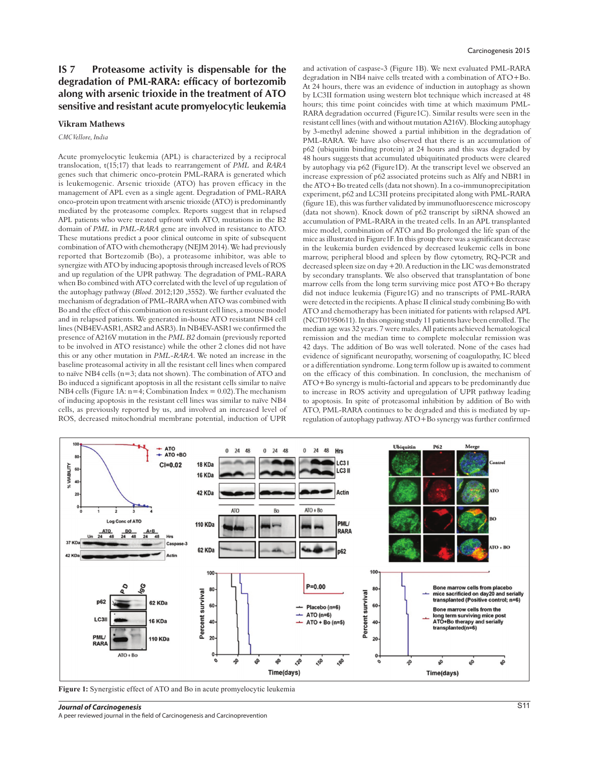# **IS 7 Proteasome activity is dispensable for the degradation of PML-RARA: efficacy of bortezomib along with arsenic trioxide in the treatment of ATO sensitive and resistant acute promyelocytic leukemia**

### **Vikram Mathews**

*CMC Vellore, India*

Acute promyelocytic leukemia (APL) is characterized by a reciprocal translocation, t(15;17) that leads to rearrangement of *PML* and *RARA* genes such that chimeric onco-protein PML-RARA is generated which is leukemogenic. Arsenic trioxide (ATO) has proven efficacy in the management of APL even as a single agent. Degradation of PML-RARA onco-protein upon treatment with arsenic trioxide (ATO) is predominantly mediated by the proteasome complex. Reports suggest that in relapsed APL patients who were treated upfront with ATO, mutations in the B2 domain of *PML* in *PML*-*RARA* gene are involved in resistance to ATO. These mutations predict a poor clinical outcome in spite of subsequent combination of ATO with chemotherapy (NEJM 2014). We had previously reported that Bortezomib (Bo), a proteasome inhibitor, was able to synergize with ATO by inducing apoptosis through increased levels of ROS and up regulation of the UPR pathway. The degradation of PML-RARA when Bo combined with ATO correlated with the level of up regulation of the autophagy pathway (*Blood*. 2012;120 ,3552). We further evaluated the mechanism of degradation of PML-RARA when ATO was combined with Bo and the effect of this combination on resistant cell lines, a mouse model and in relapsed patients. We generated in-house ATO resistant NB4 cell lines (NB4EV-ASR1, ASR2 and ASR3). In NB4EV-ASR1 we confirmed the presence of A216V mutation in the *PML B2* domain (previously reported to be involved in ATO resistance) while the other 2 clones did not have this or any other mutation in *PML-RARA*. We noted an increase in the baseline proteasomal activity in all the resistant cell lines when compared to naïve NB4 cells (n=3; data not shown). The combination of ATO and Bo induced a significant apoptosis in all the resistant cells similar to naïve NB4 cells (Figure 1A:  $n=4$ : Combination Index = 0.02). The mechanism of inducing apoptosis in the resistant cell lines was similar to naïve NB4 cells, as previously reported by us, and involved an increased level of ROS, decreased mitochondrial membrane potential, induction of UPR

#### Carcinogenesis 2015

and activation of caspase-3 (Figure 1B). We next evaluated PML-RARA degradation in NB4 naive cells treated with a combination of ATO+Bo. At 24 hours, there was an evidence of induction in autophagy as shown by LC3II formation using western blot technique which increased at 48 hours; this time point coincides with time at which maximum PML-RARA degradation occurred (Figure1C). Similar results were seen in the resistant cell lines (with and without mutation A216V). Blocking autophagy by 3-methyl adenine showed a partial inhibition in the degradation of PML-RARA. We have also observed that there is an accumulation of p62 (ubiquitin binding protein) at 24 hours and this was degraded by 48 hours suggests that accumulated ubiquitinated products were cleared by autophagy via p62 (Figure1D). At the transcript level we observed an increase expression of p62 associated proteins such as Alfy and NBR1 in the ATO+Bo treated cells (data not shown). In a co-immunoprecipitation experiment, p62 and LC3II proteins precipitated along with PML-RARA (figure 1E), this was further validated by immunofluorescence microscopy (data not shown). Knock down of p62 transcript by siRNA showed an accumulation of PML-RARA in the treated cells. In an APL transplanted mice model, combination of ATO and Bo prolonged the life span of the mice as illustrated in Figure1F. In this group there was a significant decrease in the leukemia burden evidenced by decreased leukemic cells in bone marrow, peripheral blood and spleen by flow cytometry, RQ-PCR and decreased spleen size on day +20. A reduction in the LIC was demonstrated by secondary transplants. We also observed that transplantation of bone marrow cells from the long term surviving mice post ATO+Bo therapy did not induce leukemia (Figure1G) and no transcripts of PML-RARA were detected in the recipients. A phase II clinical study combining Bo with ATO and chemotherapy has been initiated for patients with relapsed APL (NCT01950611). In this ongoing study 11 patients have been enrolled. The median age was 32 years. 7 were males. All patients achieved hematological remission and the median time to complete molecular remission was 42 days. The addition of Bo was well tolerated. None of the cases had evidence of significant neuropathy, worsening of coagulopathy, IC bleed or a differentiation syndrome. Long term follow up is awaited to comment on the efficacy of this combination. In conclusion, the mechanism of ATO+Bo synergy is multi-factorial and appears to be predominantly due to increase in ROS activity and upregulation of UPR pathway leading to apoptosis. In spite of proteasomal inhibition by addition of Bo with ATO, PML-RARA continues to be degraded and this is mediated by upregulation of autophagy pathway. ATO+Bo synergy was further confirmed



**Figure 1:** Synergistic effect of ATO and Bo in acute promyelocytic leukemia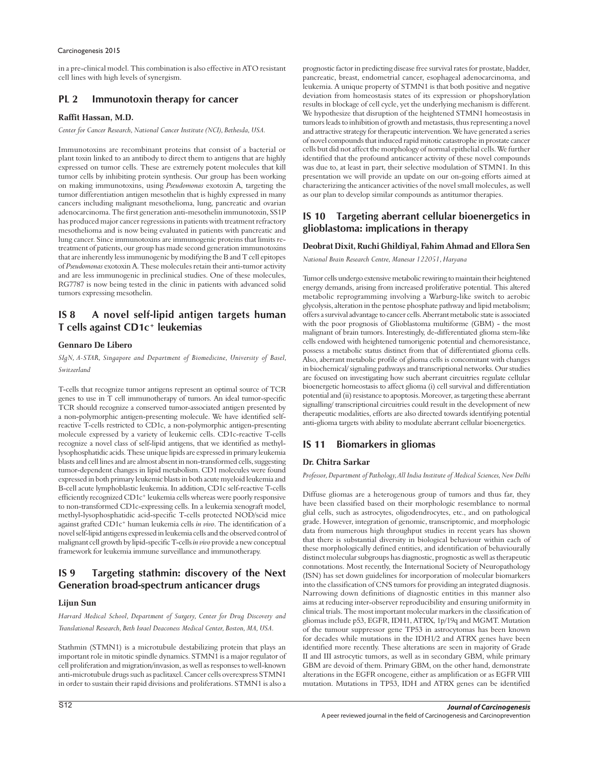in a pre-clinical model. This combination is also effective in ATO resistant cell lines with high levels of synergism.

# **PL 2 Immunotoxin therapy for cancer**

### **Raffit Hassan, M.D.**

*Center for Cancer Research, National Cancer Institute (NCI), Bethesda, USA.*

Immunotoxins are recombinant proteins that consist of a bacterial or plant toxin linked to an antibody to direct them to antigens that are highly expressed on tumor cells. These are extremely potent molecules that kill tumor cells by inhibiting protein synthesis. Our group has been working on making immunotoxins, using *Pseudomonas* exotoxin A, targeting the tumor differentiation antigen mesothelin that is highly expressed in many cancers including malignant mesothelioma, lung, pancreatic and ovarian adenocarcinoma. The first generation anti-mesothelin immunotoxin, SS1P has produced major cancer regressions in patients with treatment refractory mesothelioma and is now being evaluated in patients with pancreatic and lung cancer. Since immunotoxins are immunogenic proteins that limits retreatment of patients, our group has made second generation immunotoxins that are inherently less immunogenic by modifying the B and T cell epitopes of *Pseudomonas* exotoxin A. These molecules retain their anti-tumor activity and are less immunogenic in preclinical studies. One of these molecules, RG7787 is now being tested in the clinic in patients with advanced solid tumors expressing mesothelin.

### **IS 8 A novel self-lipid antigen targets human T cells against CD1c+ leukemias**

### **Gennaro De Libero**

*SIgN, A-STAR, Singapore and Department of Biomedicine, University of Basel, Switzerland*

T-cells that recognize tumor antigens represent an optimal source of TCR genes to use in T cell immunotherapy of tumors. An ideal tumor-specific TCR should recognize a conserved tumor-associated antigen presented by a non-polymorphic antigen-presenting molecule. We have identified selfreactive T-cells restricted to CD1c, a non-polymorphic antigen-presenting molecule expressed by a variety of leukemic cells. CD1c-reactive T-cells recognize a novel class of self-lipid antigens, that we identified as methyllysophosphatidic acids. These unique lipids are expressed in primary leukemia blasts and cell lines and are almost absent in non-transformed cells, suggesting tumor-dependent changes in lipid metabolism. CD1 molecules were found expressed in both primary leukemic blasts in both acute myeloid leukemia and B-cell acute lymphoblastic leukemia. In addition, CD1c self-reactive T-cells efficiently recognized CD1c+ leukemia cells whereas were poorly responsive to non-transformed CD1c-expressing cells. In a leukemia xenograft model, methyl-lysophosphatidic acid-specific T-cells protected NOD/scid mice against grafted CD1c+ human leukemia cells *in vivo*. The identification of a novel self-lipid antigens expressed in leukemia cells and the observed control of malignant cell growth by lipid-specific T-cells *in vivo* provide a new conceptual framework for leukemia immune surveillance and immunotherapy.

# **IS 9 Targeting stathmin: discovery of the Next Generation broad-spectrum anticancer drugs**

### **Lijun Sun**

*Harvard Medical School, Department of Surgery, Center for Drug Discovery and Translational Research, Beth Israel Deaconess Medical Center, Boston, MA, USA.* 

Stathmin (STMN1) is a microtubule destabilizing protein that plays an important role in mitotic spindle dynamics. STMN1 is a major regulator of cell proliferation and migration/invasion, as well as responses to well-known anti-microtubule drugs such as paclitaxel. Cancer cells overexpress STMN1 in order to sustain their rapid divisions and proliferations. STMN1 is also a

prognostic factor in predicting disease free survival rates for prostate, bladder, pancreatic, breast, endometrial cancer, esophageal adenocarcinoma, and leukemia. A unique property of STMN1 is that both positive and negative deviation from homeostasis states of its expression or phopshorylation results in blockage of cell cycle, yet the underlying mechanism is different. We hypothesize that disruption of the heightened STMN1 homeostasis in tumors leads to inhibition of growth and metastasis, thus representing a novel and attractive strategy for therapeutic intervention. We have generated a series of novel compounds that induced rapid mitotic catastrophe in prostate cancer cells but did not affect the morphology of normal epithelial cells. We further identified that the profound anticancer activity of these novel compounds was due to, at least in part, their selective modulation of STMN1. In this presentation we will provide an update on our on-going efforts aimed at characterizing the anticancer activities of the novel small molecules, as well as our plan to develop similar compounds as antitumor therapies.

# **IS 10 Targeting aberrant cellular bioenergetics in glioblastoma: implications in therapy**

### **Deobrat Dixit, Ruchi Ghildiyal, Fahim Ahmad and Ellora Sen**

*National Brain Research Centre, Manesar 122051, Haryana*

Tumor cells undergo extensive metabolic rewiring to maintain their heightened energy demands, arising from increased proliferative potential. This altered metabolic reprogramming involving a Warburg-like switch to aerobic glycolysis, alteration in the pentose phosphate pathway and lipid metabolism; offers a survival advantage to cancer cells. Aberrant metabolic state is associated with the poor prognosis of Glioblastoma multiforme (GBM) - the most malignant of brain tumors. Interestingly, de-differentiated glioma stem-like cells endowed with heightened tumorigenic potential and chemoresistance, possess a metabolic status distinct from that of differentiated glioma cells. Also, aberrant metabolic profile of glioma cells is concomitant with changes in biochemical/ signaling pathways and transcriptional networks. Our studies are focused on investigating how such aberrant circuitries regulate cellular bioenergetic homeostasis to affect glioma (i) cell survival and differentiation potential and (ii) resistance to apoptosis. Moreover, as targeting these aberrant signalling/ transcriptional circuitries could result in the development of new therapeutic modalities, efforts are also directed towards identifying potential anti-glioma targets with ability to modulate aberrant cellular bioenergetics.

### **IS 11 Biomarkers in gliomas**

### **Dr. Chitra Sarkar**

*Professor, Department of Pathology, All India Institute of Medical Sciences, New Delhi*

Diffuse gliomas are a heterogenous group of tumors and thus far, they have been classified based on their morphologic resemblance to normal glial cells, such as astrocytes, oligodendrocytes, etc., and on pathological grade. However, integration of genomic, transcriptomic, and morphologic data from numerous high throughput studies in recent years has shown that there is substantial diversity in biological behaviour within each of these morphologically defined entities, and identification of behaviourally distinct molecular subgroups has diagnostic, prognostic as well as therapeutic connotations. Most recently, the International Society of Neuropathology (ISN) has set down guidelines for incorporation of molecular biomarkers into the classification of CNS tumors for providing an integrated diagnosis. Narrowing down definitions of diagnostic entities in this manner also aims at reducing inter-observer reproducibility and ensuring uniformity in clinical trials. The most important molecular markers in the classification of gliomas include p53, EGFR, IDH1, ATRX, 1p/19q and MGMT. Mutation of the tumour suppressor gene TP53 in astrocytomas has been known for decades while mutations in the IDH1/2 and ATRX genes have been identified more recently. These alterations are seen in majority of Grade II and III astrocytic tumors, as well as in secondary GBM, while primary GBM are devoid of them. Primary GBM, on the other hand, demonstrate alterations in the EGFR oncogene, either as amplification or as EGFR VIII mutation. Mutations in TP53, IDH and ATRX genes can be identified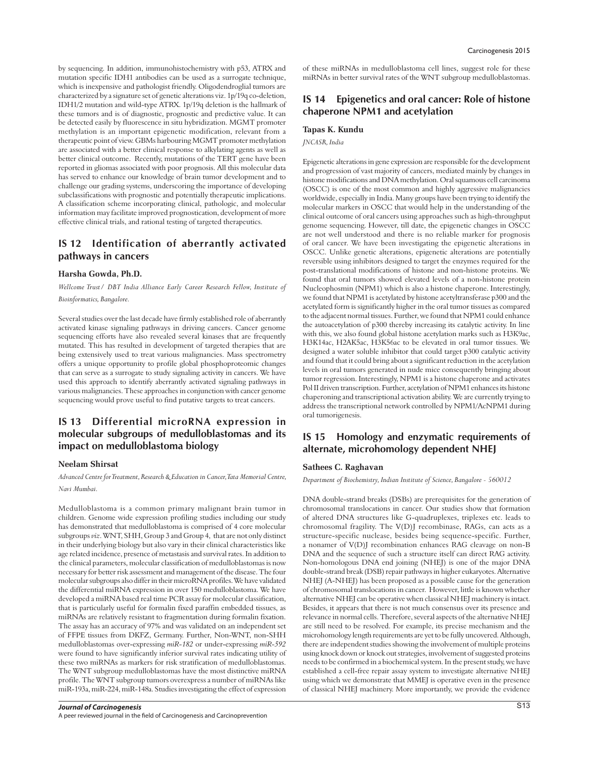by sequencing. In addition, immunohistochemistry with p53, ATRX and mutation specific IDH1 antibodies can be used as a surrogate technique, which is inexpensive and pathologist friendly. Oligodendroglial tumors are characterized by a signature set of genetic alterations viz. 1p/19q co-deletion, IDH1/2 mutation and wild-type ATRX. 1p/19q deletion is the hallmark of these tumors and is of diagnostic, prognostic and predictive value. It can be detected easily by fluorescence in situ hybridization. MGMT promoter methylation is an important epigenetic modification, relevant from a therapeutic point of view. GBMs harbouring MGMT promoter methylation are associated with a better clinical response to alkylating agents as well as better clinical outcome. Recently, mutations of the TERT gene have been reported in gliomas associated with poor prognosis. All this molecular data has served to enhance our knowledge of brain tumor development and to challenge our grading systems, underscoring the importance of developing subclassifications with prognostic and potentially therapeutic implications. A classification scheme incorporating clinical, pathologic, and molecular information may facilitate improved prognostication, development of more effective clinical trials, and rational testing of targeted therapeutics.

# **IS 12 Identification of aberrantly activated pathways in cancers**

#### **Harsha Gowda, Ph.D.**

*Wellcome Trust/ DBT India Alliance Early Career Research Fellow, Institute of Bioinformatics, Bangalore.*

Several studies over the last decade have firmly established role of aberrantly activated kinase signaling pathways in driving cancers. Cancer genome sequencing efforts have also revealed several kinases that are frequently mutated. This has resulted in development of targeted therapies that are being extensively used to treat various malignancies. Mass spectrometry offers a unique opportunity to profile global phosphoproteomic changes that can serve as a surrogate to study signaling activity in cancers. We have used this approach to identify aberrantly activated signaling pathways in various malignancies. These approaches in conjunction with cancer genome sequencing would prove useful to find putative targets to treat cancers.

# **IS 13 Differential microRNA expression in molecular subgroups of medulloblastomas and its impact on medulloblastoma biology**

#### **Neelam Shirsat**

*Advanced Centre for Treatment, Research & Education in Cancer, Tata Memorial Centre, Navi Mumbai.*

Medulloblastoma is a common primary malignant brain tumor in children. Genome wide expression profiling studies including our study has demonstrated that medulloblastoma is comprised of 4 core molecular subgroups *viz*. WNT, SHH, Group 3 and Group 4, that are not only distinct in their underlying biology but also vary in their clinical characteristics like age related incidence, presence of metastasis and survival rates. In addition to the clinical parameters, molecular classification of medulloblastomas is now necessary for better risk assessment and management of the disease. The four molecular subgroups also differ in their microRNA profiles. We have validated the differential miRNA expression in over 150 medulloblastoma. We have developed a miRNA based real time PCR assay for molecular classification, that is particularly useful for formalin fixed paraffin embedded tissues, as miRNAs are relatively resistant to fragmentation during formalin fixation. The assay has an accuracy of 97% and was validated on an independent set of FFPE tissues from DKFZ, Germany. Further, Non-WNT, non-SHH medulloblastomas over-expressing *miR-182* or under-expressing *miR-592* were found to have significantly inferior survival rates indicating utility of these two miRNAs as markers for risk stratification of medulloblastomas. The WNT subgroup medulloblastomas have the most distinctive miRNA profile. The WNT subgroup tumors overexpress a number of miRNAs like miR-193a, miR-224, miR-148a. Studies investigating the effect of expression of these miRNAs in medulloblastoma cell lines, suggest role for these miRNAs in better survival rates of the WNT subgroup medulloblastomas.

### **IS 14 Epigenetics and oral cancer: Role of histone chaperone NPM1 and acetylation**

#### **Tapas K. Kundu**

*JNCASR, India*

Epigenetic alterations in gene expression are responsible for the development and progression of vast majority of cancers, mediated mainly by changes in histone modifications and DNA methylation. Oral squamous cell carcinoma (OSCC) is one of the most common and highly aggressive malignancies worldwide, especially in India. Many groups have been trying to identify the molecular markers in OSCC that would help in the understanding of the clinical outcome of oral cancers using approaches such as high-throughput genome sequencing. However, till date, the epigenetic changes in OSCC are not well understood and there is no reliable marker for prognosis of oral cancer. We have been investigating the epigenetic alterations in OSCC. Unlike genetic alterations, epigenetic alterations are potentially reversible using inhibitors designed to target the enzymes required for the post-translational modifications of histone and non-histone proteins. We found that oral tumors showed elevated levels of a non-histone protein Nucleophosmin (NPM1) which is also a histone chaperone. Interestingly, we found that NPM1 is acetylated by histone acetyltransferase p300 and the acetylated form is significantly higher in the oral tumor tissues as compared to the adjacent normal tissues. Further, we found that NPM1 could enhance the autoacetylation of p300 thereby increasing its catalytic activity. In line with this, we also found global histone acetylation marks such as H3K9ac, H3K14ac, H2AK5ac, H3K56ac to be elevated in oral tumor tissues. We designed a water soluble inhibitor that could target p300 catalytic activity and found that it could bring about a significant reduction in the acetylation levels in oral tumors generated in nude mice consequently bringing about tumor regression. Interestingly, NPM1 is a histone chaperone and activates Pol II driven transcription. Further, acetylation of NPM1 enhances its histone chaperoning and transcriptional activation ability. We are currently trying to address the transcriptional network controlled by NPM1/AcNPM1 during oral tumorigenesis.

# **IS 15 Homology and enzymatic requirements of alternate, microhomology dependent NHEJ**

#### **Sathees C. Raghavan**

*Department of Biochemistry, Indian Institute of Science, Bangalore - 560012*

DNA double-strand breaks (DSBs) are prerequisites for the generation of chromosomal translocations in cancer. Our studies show that formation of altered DNA structures like G-quadruplexes, triplexes etc. leads to chromosomal fragility. The V(D)J recombinase, RAGs, can acts as a structure-specific nuclease, besides being sequence-specific. Further, a nonamer of V(D)J recombination enhances RAG cleavage on non-B DNA and the sequence of such a structure itself can direct RAG activity. Non-homologous DNA end joining (NHEJ) is one of the major DNA double-strand break (DSB) repair pathways in higher eukaryotes. Alternative NHEJ (A-NHEJ) has been proposed as a possible cause for the generation of chromosomal translocations in cancer. However, little is known whether alternative NHEJ can be operative when classical NHEJ machinery is intact. Besides, it appears that there is not much consensus over its presence and relevance in normal cells. Therefore, several aspects of the alternative NHEJ are still need to be resolved. For example, its precise mechanism and the microhomology length requirements are yet to be fully uncovered. Although, there are independent studies showing the involvement of multiple proteins using knock down or knock out strategies, involvement of suggested proteins needs to be confirmed in a biochemical system. In the present study, we have established a cell-free repair assay system to investigate alternative NHEJ using which we demonstrate that MMEJ is operative even in the presence of classical NHEJ machinery. More importantly, we provide the evidence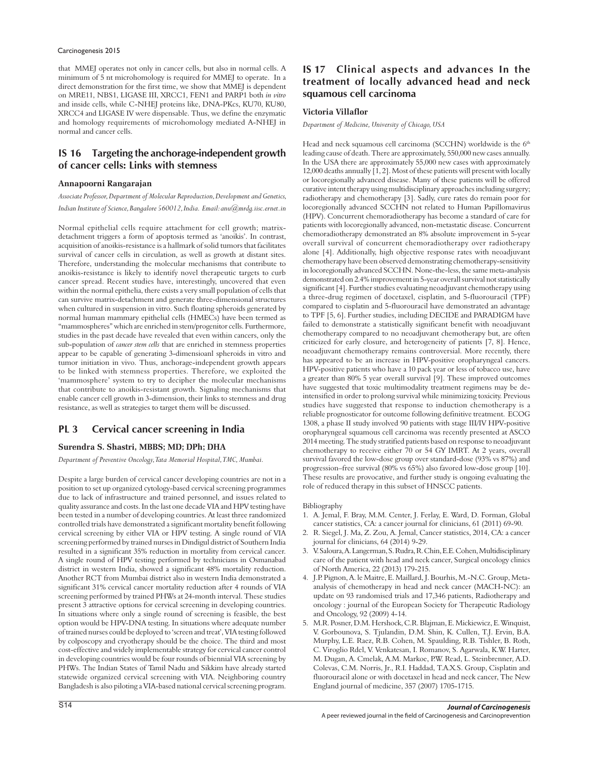#### Carcinogenesis 2015

that MMEJ operates not only in cancer cells, but also in normal cells. A minimum of 5 nt microhomology is required for MMEJ to operate. In a direct demonstration for the first time, we show that MMEJ is dependent on MRE11, NBS1, LIGASE III, XRCC1, FEN1 and PARP1 both *in vitro* and inside cells, while C-NHEJ proteins like, DNA-PKcs, KU70, KU80, XRCC4 and LIGASE IV were dispensable. Thus, we define the enzymatic and homology requirements of microhomology mediated A-NHEJ in normal and cancer cells.

# **IS 16 Targeting the anchorage-independent growth of cancer cells: Links with stemness**

### **Annapoorni Rangarajan**

*Associate Professor, Department of Molecular Reproduction, Development and Genetics, Indian Institute of Science, Bangalore 560012, India. Email: anu@mrdg.iisc.ernet.in*

Normal epithelial cells require attachment for cell growth; matrixdetachment triggers a form of apoptosis termed as 'anoikis'. In contrast, acquisition of anoikis-resistance is a hallmark of solid tumors that facilitates survival of cancer cells in circulation, as well as growth at distant sites. Therefore, understanding the molecular mechanisms that contribute to anoikis-resistance is likely to identify novel therapeutic targets to curb cancer spread. Recent studies have, interestingly, uncovered that even within the normal epithelia, there exists a very small population of cells that can survive matrix-detachment and generate three-dimensional structures when cultured in suspension in vitro. Such floating spheroids generated by normal human mammary epithelial cells (HMECs) have been termed as "mammospheres" which are enriched in stem/progenitor cells. Furthermore, studies in the past decade have revealed that even within cancers, only the sub-population of *cancer stem cells* that are enriched in stemness properties appear to be capable of generating 3-dimensioanl spheroids in vitro and tumor initiation in vivo. Thus, anchorage-independent growth appears to be linked with stemness properties. Therefore, we exploited the 'mammosphere' system to try to decipher the molecular mechanisms that contribute to anoikis-resistant growth. Signaling mechanisms that enable cancer cell growth in 3-dimension, their links to stemness and drug resistance, as well as strategies to target them will be discussed.

# **PL 3 Cervical cancer screening in India**

### **Surendra S. Shastri, MBBS; MD; DPh; DHA**

*Department of Preventive Oncology, Tata Memorial Hospital, TMC, Mumbai.*

Despite a large burden of cervical cancer developing countries are not in a position to set up organized cytology-based cervical screening programmes due to lack of infrastructure and trained personnel, and issues related to quality assurance and costs. In the last one decade VIA and HPV testing have been tested in a number of developing countries. At least three randomized controlled trials have demonstrated a significant mortality benefit following cervical screening by either VIA or HPV testing. A single round of VIA screening performed by trained nurses in Dindigul district of Southern India resulted in a significant 35% reduction in mortality from cervical cancer. A single round of HPV testing performed by technicians in Osmanabad district in western India, showed a significant 48% mortality reduction. Another RCT from Mumbai district also in western India demonstrated a significant 31% cervical cancer mortality reduction after 4 rounds of VIA screening performed by trained PHWs at 24-month interval. These studies present 3 attractive options for cervical screening in developing countries. In situations where only a single round of screening is feasible, the best option would be HPV-DNA testing. In situations where adequate number of trained nurses could be deployed to 'screen and treat', VIA testing followed by colposcopy and cryotherapy should be the choice. The third and most cost-effective and widely implementable strategy for cervical cancer control in developing countries would be four rounds of biennial VIA screening by PHWs. The Indian States of Tamil Nadu and Sikkim have already started statewide organized cervical screening with VIA. Neighboring country Bangladesh is also piloting a VIA-based national cervical screening program.

# **IS 17 Clinical aspects and advances In the treatment of locally advanced head and neck squamous cell carcinoma**

### **Victoria Villaflor**

*Department of Medicine, University of Chicago, USA*

Head and neck squamous cell carcinoma (SCCHN) worldwide is the 6<sup>th</sup> leading cause of death. There are approximately, 550,000 new cases annually. In the USA there are approximately 55,000 new cases with approximately 12,000 deaths annually [1, 2]. Most of these patients will present with locally or locoregionally advanced disease. Many of these patients will be offered curative intent therapy using multidisciplinary approaches including surgery; radiotherapy and chemotherapy [3]. Sadly, cure rates do remain poor for locoregionally advanced SCCHN not related to Human Papillomavirus (HPV). Concurrent chemoradiotherapy has become a standard of care for patients with locoregionally advanced, non-metastatic disease. Concurrent chemoradiotherapy demonstrated an 8% absolute improvement in 5-year overall survival of concurrent chemoradiotherapy over radiotherapy alone [4]. Additionally, high objective response rates with neoadjuvant chemotherapy have been observed demonstrating chemotherapy-sensitivity in locoregionally advanced SCCHN. None-the-less, the same meta-analysis demonstrated on 2.4% improvement in 5-year overall survival not statistically significant [4]. Further studies evaluating neoadjuvant chemotherapy using a three-drug regimen of docetaxel, cisplatin, and 5-fluorouracil (TPF) compared to cisplatin and 5-fluorouracil have demonstrated an advantage to TPF [5, 6]. Further studies, including DECIDE and PARADIGM have failed to demonstrate a statistically significant benefit with neoadjuvant chemotherapy compared to no neoadjuvant chemotherapy but, are often criticized for early closure, and heterogeneity of patients [7, 8]. Hence, neoadjuvant chemotherapy remains controversial. More recently, there has appeared to be an increase in HPV-positive oropharyngeal cancers. HPV-positive patients who have a 10 pack year or less of tobacco use, have a greater than 80% 5 year overall survival [9]. These improved outcomes have suggested that toxic multimodality treatment regimens may be deintensified in order to prolong survival while minimizing toxicity. Previous studies have suggested that response to induction chemotherapy is a reliable prognosticator for outcome following definitive treatment. ECOG 1308, a phase II study involved 90 patients with stage III/IV HPV-positive oropharyngeal squamous cell carcinoma was recently presented at ASCO 2014 meeting. The study stratified patients based on response to neoadjuvant chemotherapy to receive either 70 or 54 GY IMRT. At 2 years, overall survival favored the low-dose group over standard-dose (93% vs 87%) and progression–free survival (80% vs 65%) also favored low-dose group [10]. These results are provocative, and further study is ongoing evaluating the role of reduced therapy in this subset of HNSCC patients.

#### Bibliography

- 1. A. Jemal, F. Bray, M.M. Center, J. Ferlay, E. Ward, D. Forman, Global cancer statistics, CA: a cancer journal for clinicians, 61 (2011) 69-90.
- 2. R. Siegel, J. Ma, Z. Zou, A. Jemal, Cancer statistics, 2014, CA: a cancer journal for clinicians, 64 (2014) 9-29.
- 3. V. Saloura, A. Langerman, S. Rudra, R. Chin, E.E. Cohen, Multidisciplinary care of the patient with head and neck cancer, Surgical oncology clinics of North America, 22 (2013) 179-215.
- 4. J.P. Pignon, A. le Maitre, E. Maillard, J. Bourhis, M.-N.C. Group, Metaanalysis of chemotherapy in head and neck cancer (MACH-NC): an update on 93 randomised trials and 17,346 patients, Radiotherapy and oncology : journal of the European Society for Therapeutic Radiology and Oncology, 92 (2009) 4-14.
- 5. M.R. Posner, D.M. Hershock, C.R. Blajman, E. Mickiewicz, E. Winquist, V. Gorbounova, S. Tjulandin, D.M. Shin, K. Cullen, T.J. Ervin, B.A. Murphy, L.E. Raez, R.B. Cohen, M. Spaulding, R.B. Tishler, B. Roth, C. Viroglio Rdel, V. Venkatesan, I. Romanov, S. Agarwala, K.W. Harter, M. Dugan, A. Cmelak, A.M. Markoe, P.W. Read, L. Steinbrenner, A.D. Colevas, C.M. Norris, Jr., R.I. Haddad, T.A.X.S. Group, Cisplatin and fluorouracil alone or with docetaxel in head and neck cancer, The New England journal of medicine, 357 (2007) 1705-1715.